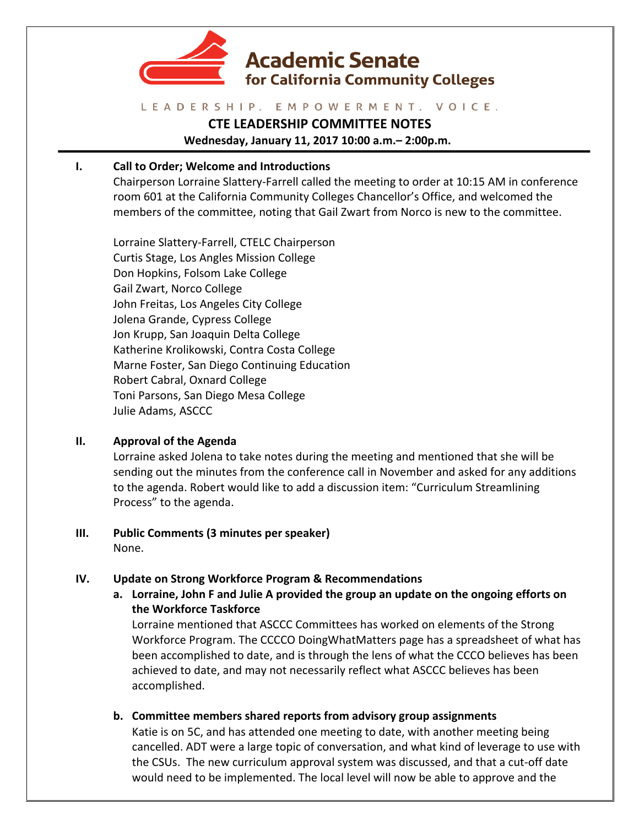

### LEADERSHIP. EMPOWERMENT. VOICE.

# **CTE LEADERSHIP COMMITTEE NOTES**

**Wednesday, January 11, 2017 10:00 a.m.– 2:00p.m.**

## **I.** Call to Order; Welcome and Introductions

Chairperson Lorraine Slattery-Farrell called the meeting to order at 10:15 AM in conference room 601 at the California Community Colleges Chancellor's Office, and welcomed the members of the committee, noting that Gail Zwart from Norco is new to the committee.

Lorraine Slattery-Farrell, CTELC Chairperson Curtis Stage, Los Angles Mission College Don Hopkins, Folsom Lake College Gail Zwart, Norco College John Freitas, Los Angeles City College Jolena Grande, Cypress College Jon Krupp, San Joaquin Delta College Katherine Krolikowski, Contra Costa College Marne Foster, San Diego Continuing Education Robert Cabral, Oxnard College Toni Parsons, San Diego Mesa College Julie Adams, ASCCC

## **II. Approval of the Agenda**

Lorraine asked Jolena to take notes during the meeting and mentioned that she will be sending out the minutes from the conference call in November and asked for any additions to the agenda. Robert would like to add a discussion item: "Curriculum Streamlining Process" to the agenda.

## **III.** Public Comments (3 minutes per speaker) None.

## **IV.** Update on Strong Workforce Program & Recommendations

**a.** Lorraine, John F and Julie A provided the group an update on the ongoing efforts on **the Workforce Taskforce**

Lorraine mentioned that ASCCC Committees has worked on elements of the Strong Workforce Program. The CCCCO DoingWhatMatters page has a spreadsheet of what has been accomplished to date, and is through the lens of what the CCCO believes has been achieved to date, and may not necessarily reflect what ASCCC believes has been accomplished.

**b.** Committee members shared reports from advisory group assignments

Katie is on 5C, and has attended one meeting to date, with another meeting being cancelled. ADT were a large topic of conversation, and what kind of leverage to use with the CSUs. The new curriculum approval system was discussed, and that a cut-off date would need to be implemented. The local level will now be able to approve and the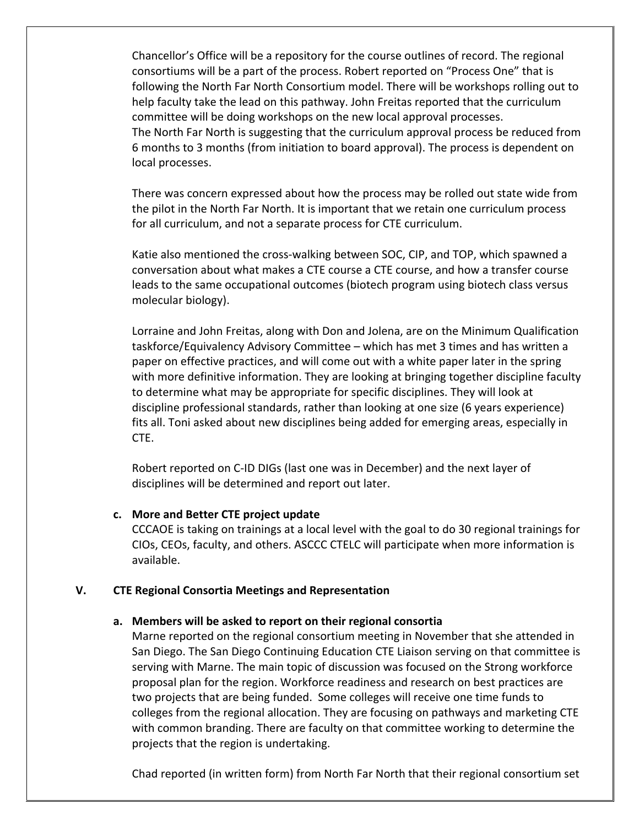Chancellor's Office will be a repository for the course outlines of record. The regional consortiums will be a part of the process. Robert reported on "Process One" that is following the North Far North Consortium model. There will be workshops rolling out to help faculty take the lead on this pathway. John Freitas reported that the curriculum committee will be doing workshops on the new local approval processes. The North Far North is suggesting that the curriculum approval process be reduced from 6 months to 3 months (from initiation to board approval). The process is dependent on local processes.

There was concern expressed about how the process may be rolled out state wide from the pilot in the North Far North. It is important that we retain one curriculum process for all curriculum, and not a separate process for CTE curriculum.

Katie also mentioned the cross-walking between SOC, CIP, and TOP, which spawned a conversation about what makes a CTE course a CTE course, and how a transfer course leads to the same occupational outcomes (biotech program using biotech class versus molecular biology).

Lorraine and John Freitas, along with Don and Jolena, are on the Minimum Qualification taskforce/Equivalency Advisory Committee – which has met 3 times and has written a paper on effective practices, and will come out with a white paper later in the spring with more definitive information. They are looking at bringing together discipline faculty to determine what may be appropriate for specific disciplines. They will look at discipline professional standards, rather than looking at one size (6 years experience) fits all. Toni asked about new disciplines being added for emerging areas, especially in CTE.

Robert reported on C-ID DIGs (last one was in December) and the next layer of disciplines will be determined and report out later.

### **c. More and Better CTE project update**

CCCAOE is taking on trainings at a local level with the goal to do 30 regional trainings for CIOs, CEOs, faculty, and others. ASCCC CTELC will participate when more information is available. 

### **V. CTE Regional Consortia Meetings and Representation**

#### a. Members will be asked to report on their regional consortia

Marne reported on the regional consortium meeting in November that she attended in San Diego. The San Diego Continuing Education CTE Liaison serving on that committee is serving with Marne. The main topic of discussion was focused on the Strong workforce proposal plan for the region. Workforce readiness and research on best practices are two projects that are being funded. Some colleges will receive one time funds to colleges from the regional allocation. They are focusing on pathways and marketing CTE with common branding. There are faculty on that committee working to determine the projects that the region is undertaking.

Chad reported (in written form) from North Far North that their regional consortium set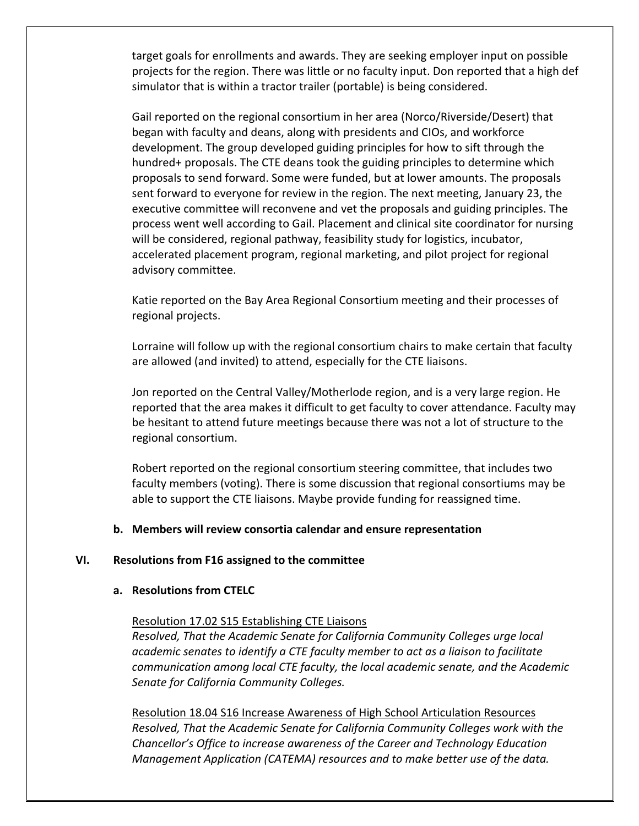target goals for enrollments and awards. They are seeking employer input on possible projects for the region. There was little or no faculty input. Don reported that a high def simulator that is within a tractor trailer (portable) is being considered.

Gail reported on the regional consortium in her area (Norco/Riverside/Desert) that began with faculty and deans, along with presidents and CIOs, and workforce development. The group developed guiding principles for how to sift through the hundred+ proposals. The CTE deans took the guiding principles to determine which proposals to send forward. Some were funded, but at lower amounts. The proposals sent forward to everyone for review in the region. The next meeting, January 23, the executive committee will reconvene and vet the proposals and guiding principles. The process went well according to Gail. Placement and clinical site coordinator for nursing will be considered, regional pathway, feasibility study for logistics, incubator, accelerated placement program, regional marketing, and pilot project for regional advisory committee.

Katie reported on the Bay Area Regional Consortium meeting and their processes of regional projects.

Lorraine will follow up with the regional consortium chairs to make certain that faculty are allowed (and invited) to attend, especially for the CTE liaisons.

Jon reported on the Central Valley/Motherlode region, and is a very large region. He reported that the area makes it difficult to get faculty to cover attendance. Faculty may be hesitant to attend future meetings because there was not a lot of structure to the regional consortium.

Robert reported on the regional consortium steering committee, that includes two faculty members (voting). There is some discussion that regional consortiums may be able to support the CTE liaisons. Maybe provide funding for reassigned time.

### **b.** Members will review consortia calendar and ensure representation

#### **VI.** Resolutions from F16 assigned to the committee

#### **a.** Resolutions from CTELC

Resolution 17.02 S15 Establishing CTE Liaisons

*Resolved, That the Academic Senate for California Community Colleges urge local academic senates to identify a CTE faculty member to act as a liaison to facilitate communication among local CTE faculty, the local academic senate, and the Academic* Senate for California Community Colleges.

Resolution 18.04 S16 Increase Awareness of High School Articulation Resources *Resolved, That the Academic Senate for California Community Colleges work with the Chancellor's* Office to increase awareness of the Career and Technology Education *Management Application (CATEMA) resources and to make better use of the data.*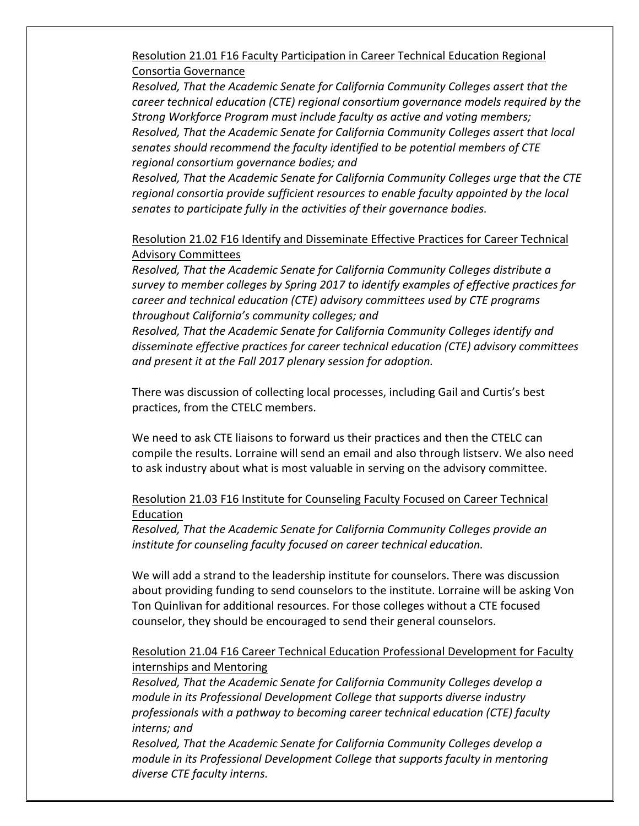Resolution 21.01 F16 Faculty Participation in Career Technical Education Regional Consortia Governance

*Resolved, That the Academic Senate for California Community Colleges assert that the career technical education (CTE) regional consortium governance models required by the Strong* Workforce Program must include faculty as active and voting members; *Resolved, That the Academic Senate for California Community Colleges assert that local senates* should recommend the faculty identified to be potential members of CTE regional consortium governance bodies; and

*Resolved, That the Academic Senate for California Community Colleges urge that the CTE* regional consortia provide sufficient resources to enable faculty appointed by the local *senates to participate fully in the activities of their governance bodies.* 

### Resolution 21.02 F16 Identify and Disseminate Effective Practices for Career Technical Advisory Committees

*Resolved, That the Academic Senate for California Community Colleges distribute a* survey to member colleges by Spring 2017 to identify examples of effective practices for *career and technical education (CTE)* advisory *committees used by CTE programs throughout California's community colleges; and*

*Resolved, That the Academic Senate for California Community Colleges identify and* disseminate effective practices for career technical education (CTE) advisory committees and present it at the Fall 2017 plenary session for adoption.

There was discussion of collecting local processes, including Gail and Curtis's best practices, from the CTELC members.

We need to ask CTE liaisons to forward us their practices and then the CTELC can compile the results. Lorraine will send an email and also through listserv. We also need to ask industry about what is most valuable in serving on the advisory committee.

# Resolution 21.03 F16 Institute for Counseling Faculty Focused on Career Technical Education

*Resolved, That the Academic Senate for California Community Colleges provide an institute for counseling faculty focused on career technical education.* 

We will add a strand to the leadership institute for counselors. There was discussion about providing funding to send counselors to the institute. Lorraine will be asking Von Ton Quinlivan for additional resources. For those colleges without a CTE focused counselor, they should be encouraged to send their general counselors.

## Resolution 21.04 F16 Career Technical Education Professional Development for Faculty internships and Mentoring

*Resolved, That the Academic Senate for California Community Colleges develop a module in its Professional Development College that supports diverse industry* professionals with a pathway to becoming career technical education (CTE) faculty *interns; and*

*Resolved, That the Academic Senate for California Community Colleges develop a module in its Professional Development College that supports faculty in mentoring* diverse CTE faculty interns.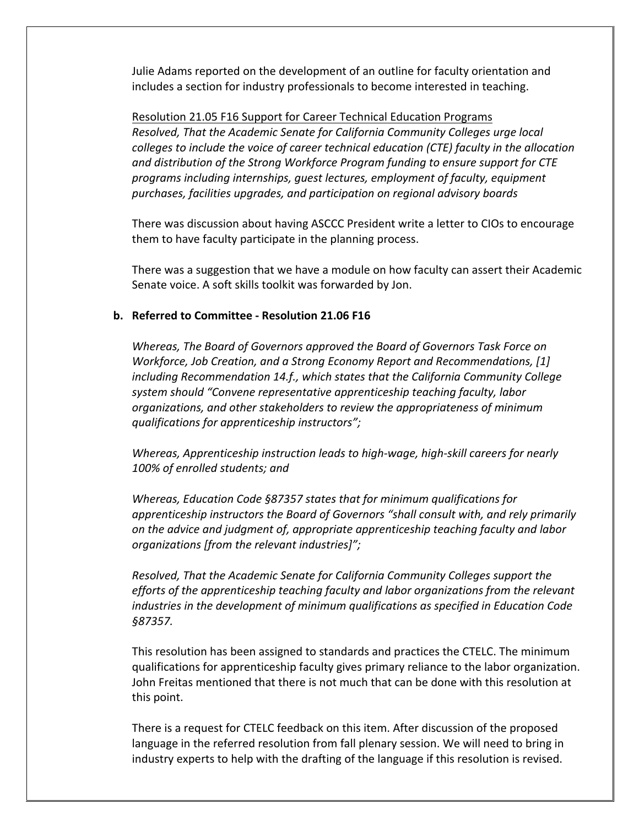Julie Adams reported on the development of an outline for faculty orientation and includes a section for industry professionals to become interested in teaching.

Resolution 21.05 F16 Support for Career Technical Education Programs *Resolved, That the Academic Senate for California Community Colleges urge local colleges to include the voice of career technical education (CTE) faculty in the allocation* and distribution of the Strong Workforce Program funding to ensure support for CTE programs including internships, quest lectures, employment of faculty, equipment *purchases, facilities upgrades, and participation on regional advisory boards*

There was discussion about having ASCCC President write a letter to CIOs to encourage them to have faculty participate in the planning process.

There was a suggestion that we have a module on how faculty can assert their Academic Senate voice. A soft skills toolkit was forwarded by Jon.

### **b.** Referred to Committee - Resolution 21.06 F16

*Whereas, The Board of Governors approved the Board of Governors Task Force on Workforce, Job Creation, and a Strong Economy Report and Recommendations, [1] including* Recommendation 14.f., which states that the California Community College system should "Convene representative apprenticeship teaching faculty, labor *organizations, and other stakeholders to review the appropriateness of minimum qualifications for apprenticeship instructors";*

*Whereas, Apprenticeship instruction leads to high-wage, high-skill careers for nearly* 100% of enrolled students; and

Whereas, Education Code §87357 states that for minimum qualifications for *apprenticeship instructors the Board of Governors* "shall consult with, and rely primarily *on* the advice and judgment of, appropriate apprenticeship teaching faculty and labor *organizations [from the relevant industries]";*

*Resolved, That the Academic Senate for California Community Colleges support the efforts* of the apprenticeship teaching faculty and labor organizations from the relevant *industries* in the development of minimum qualifications as specified in Education Code *§87357.*

This resolution has been assigned to standards and practices the CTELC. The minimum qualifications for apprenticeship faculty gives primary reliance to the labor organization. John Freitas mentioned that there is not much that can be done with this resolution at this point.

There is a request for CTELC feedback on this item. After discussion of the proposed language in the referred resolution from fall plenary session. We will need to bring in industry experts to help with the drafting of the language if this resolution is revised.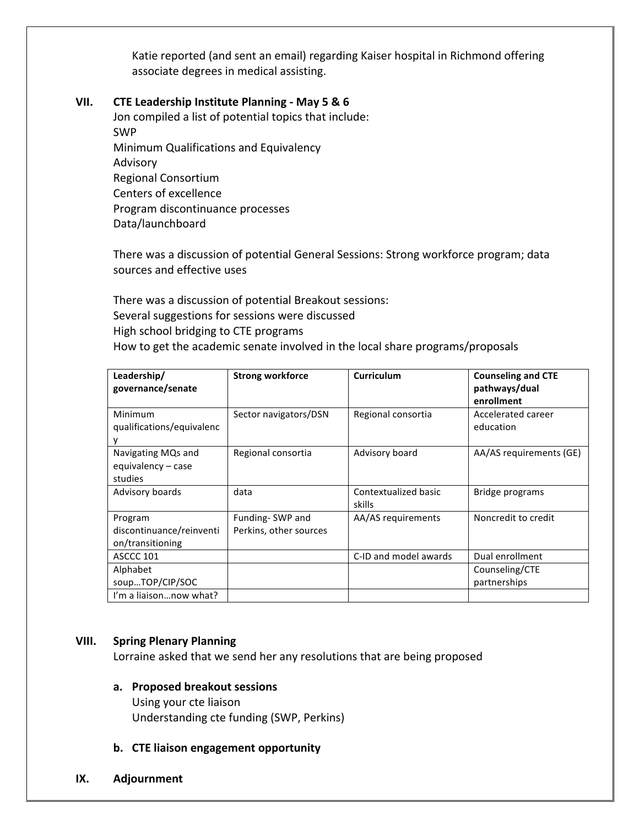Katie reported (and sent an email) regarding Kaiser hospital in Richmond offering associate degrees in medical assisting.

#### **VII.** CTE Leadership Institute Planning - May 5 & 6

Jon compiled a list of potential topics that include: SWP Minimum Qualifications and Equivalency Advisory Regional Consortium Centers of excellence Program discontinuance processes Data/launchboard

There was a discussion of potential General Sessions: Strong workforce program; data sources and effective uses

There was a discussion of potential Breakout sessions: Several suggestions for sessions were discussed High school bridging to CTE programs How to get the academic senate involved in the local share programs/proposals

| Leadership/<br>governance/senate                        | <b>Strong workforce</b>                   | Curriculum                     | <b>Counseling and CTE</b><br>pathways/dual<br>enrollment |
|---------------------------------------------------------|-------------------------------------------|--------------------------------|----------------------------------------------------------|
| Minimum<br>qualifications/equivalenc                    | Sector navigators/DSN                     | Regional consortia             | Accelerated career<br>education                          |
| Navigating MQs and<br>equivalency – case<br>studies     | Regional consortia                        | Advisory board                 | AA/AS requirements (GE)                                  |
| Advisory boards                                         | data                                      | Contextualized basic<br>skills | Bridge programs                                          |
| Program<br>discontinuance/reinventi<br>on/transitioning | Funding-SWP and<br>Perkins, other sources | AA/AS requirements             | Noncredit to credit                                      |
| ASCCC 101                                               |                                           | C-ID and model awards          | Dual enrollment                                          |
| Alphabet<br>soupTOP/CIP/SOC<br>I'm a liaisonnow what?   |                                           |                                | Counseling/CTE<br>partnerships                           |
|                                                         |                                           |                                |                                                          |

### **VIII. Spring Plenary Planning**

Lorraine asked that we send her any resolutions that are being proposed

- **a. Proposed breakout sessions** Using your cte liaison Understanding cte funding (SWP, Perkins)
- **b.** CTE liaison engagement opportunity
- **IX. Adjournment**